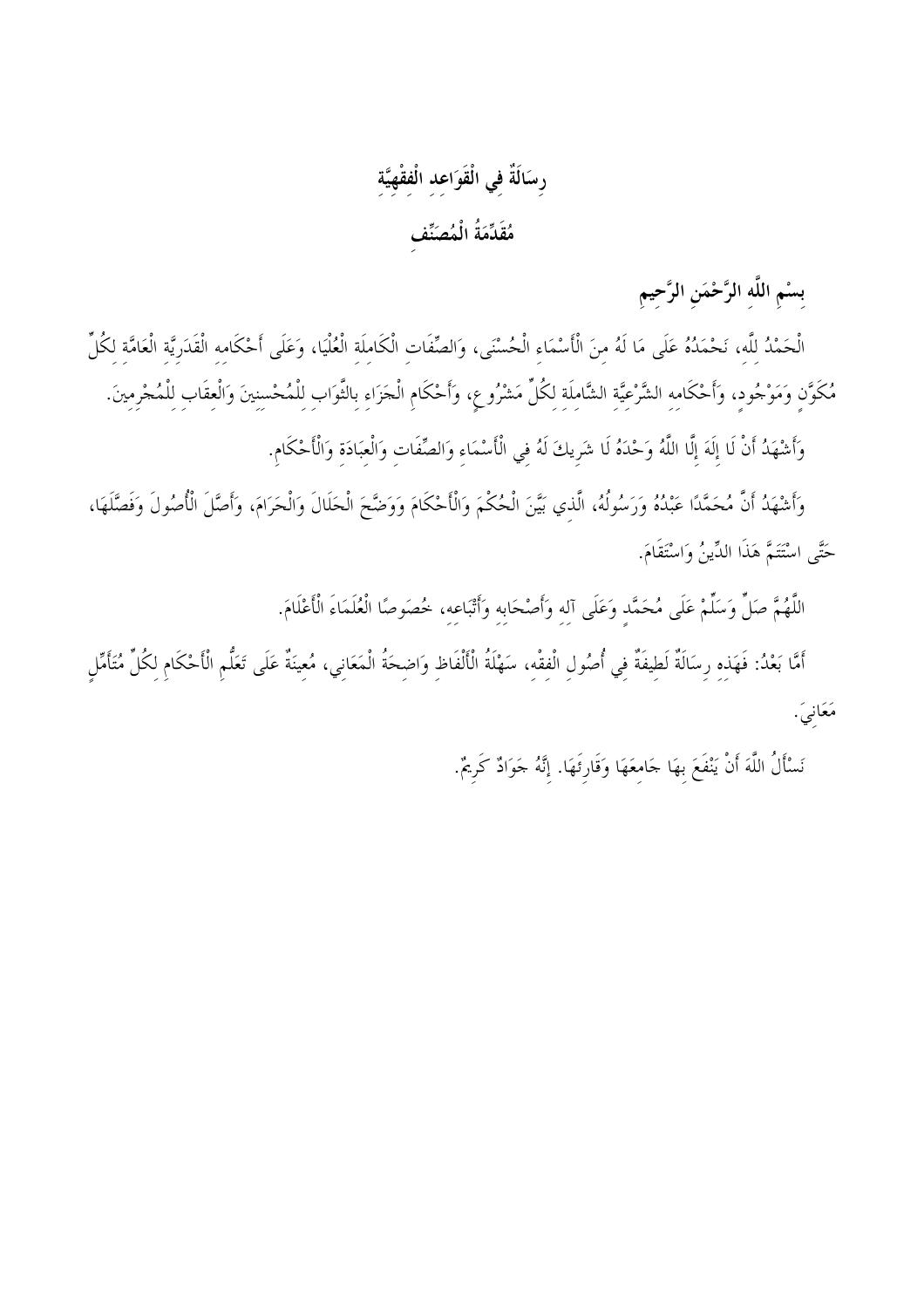# رسَالَةٌ في الْقَوَاعِدِ الْفِقْهِيَّةِ

مُقَدِّمَةُ الْمُصَنِّف

بسْم اللَّه الرَّحْمَنِ الرَّحِيمِ

الْحَمْدُ لِلَّهِ، نَحْمَدُهُ عَلَى مَا لَهُ مِنَ الْأَسْمَاءِ الْحُسْنَى، وَالصِّفَاتِ الْكَامِلَةِ الْعُلْيَا، وَعَلَى أَحْكَامِهِ الْقَدَرِيَّةِ الْعَامَّةِ لِكُلِّ مُكَوَّنِ وَمَوْجُودٍ، وَأَحْكَامِهِ الشَّرْعِيَّةِ الشَّامِلَةِ لِكُلِّ مَشْرُوعٍ، وَأَحْكَامِ الْجَزَاءِ بالثَّوَابِ لِلْمُحْسِنِينَ وَالْعِقَابِ لِلْمُحْرِمِينَ.

وَأَشْهَدُ أَنْ لَا إِلَهَ إِلَّا اللَّهُ وَحْدَهُ لَا شَرِيكَ لَهُ فِي الْأَسْمَاءِ وَالصِّفَاتِ وَالْعبَادَة وَالْأَحْكَامِ.

وَأَشْهَدُ أَنَّ مُحَمَّدًا عَبْدُهُ وَرَسُولُهُ، الَّذي بَيَّنَ الْحُكْمَ وَالْأَحْكَامَ وَوَضَّحَ الْحَلَالَ وَالْحَرَامَ، وَأَصَّلَ الْأُصُولَ وَفَصَّلَهَا، حَتَّى اسْتَتَمَّ هَذَا الدِّينُ وَاسْتَقَامَ.

اللَّهُمَّ صَلِّ وَسَلِّمْ عَلَى مُحَمَّدٍ وَعَلَى آلِهِ وَأَصْحَابِهِ وَأَتْبَاعِهِ، خُصَوصًا الْعُلَمَاءَ الْأَعْلَامَ.

أَمَّا بَعْدُ: فَهَذِهِ رِسَالَةٌ لَطِيفَةٌ فِي أُصُولِ الْفِقْهِ، سَهْلَةُ الْأَلْفَاظِ وَاضِحَةُ الْمَعَانِي، مُعِينَةٌ عَلَى تَعَلُّمِ الْأَحْكَامِ لِكُلِّ مُتَأَمِّلٍ مَعَانيَ.

نَسْأَلُ اللَّهَ أَنْ يَنْفَعَ بِهَا جَامِعَهَا وَقَارِئَهَا. إِنَّهُ جَوَادٌ كَرِيمٌ.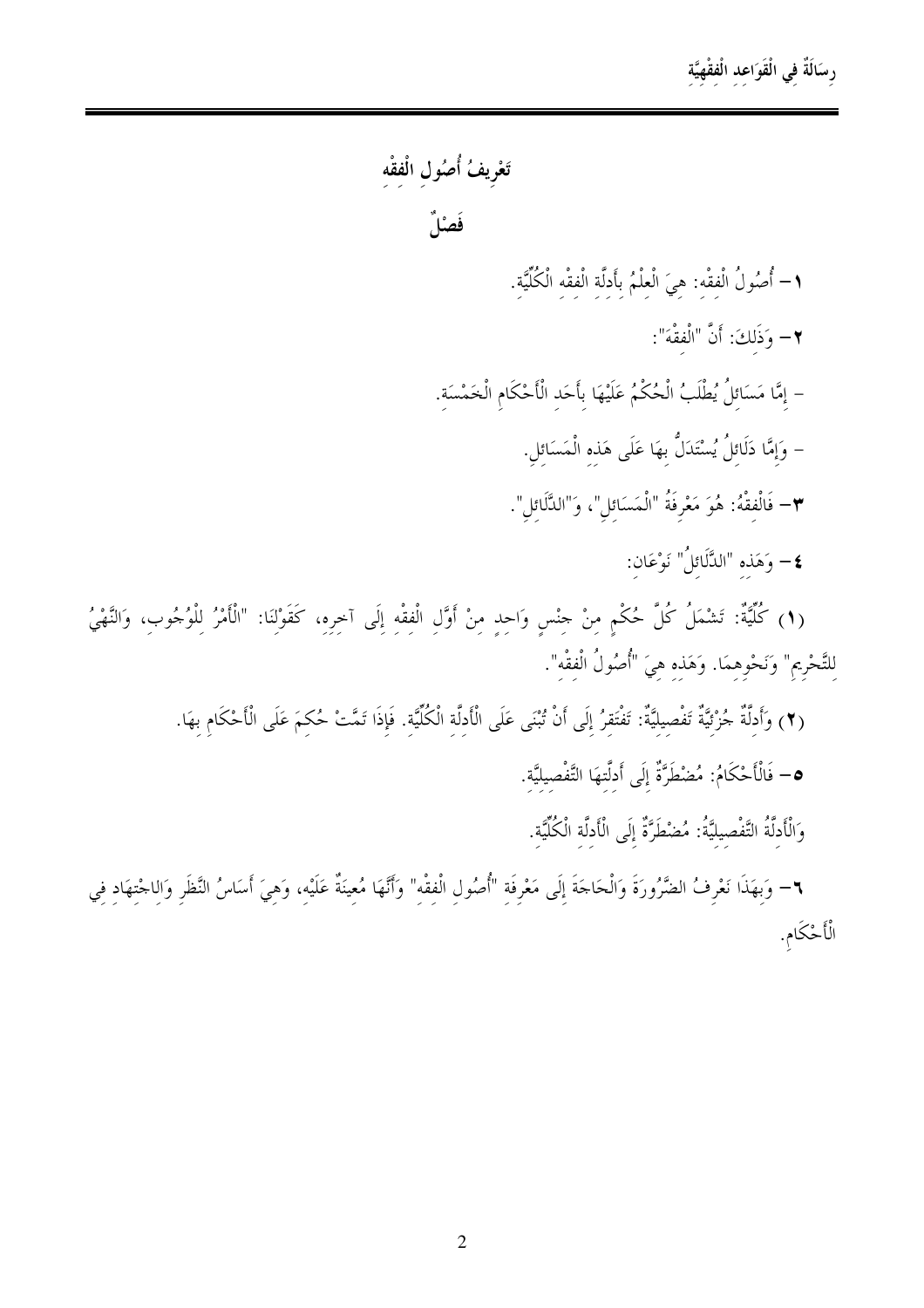### رسَالَةٌ في الْقَوَاعد الْفقْهيَّة

تَعْرِيفُ أُصُول الْفقْه

فَصْلٌ

- ١- أُصُولُ الْفقْه: هِيَ الْعلْمُ بأَدلَّة الْفقْه الْكُلِّيَّة.
	- ٢- وَذَلكَ: أَنَّ "الْفقْهَ":
- إمَّا مَسَائلُ يُطْلَبُ الْحُكْمُ عَلَيْهَا بِأَحَدِ الْأَحْكَامِ الْخَمْسَةِ.
	- وَإِمَّا دَلَائِلُ يُسْتَدَلُّ بِهَا عَلَى هَذِه الْمَسَائِلِ.
	- ٣- فَالْفقْهُ: هُوَ مَعْرِفَةُ "الْمَسَائل"، وَ"الدَّلَائل".
		- **٤** وَهَذه "الدَّلَائلُ" نَوْعَان:

(١) كُلِّيَّةٌ: تَشْمَلُ كُلَّ حُكْمٍ مِنْ حِنْسٍ وَاحِدٍ مِنْ أَوَّلِ الْفِقْهِ إِلَى آخِرِهِ، كَقَوْلِنَا: "الْأَمْرُ لِلْوُجُوبِ، وَالنَّهْيُ لِلتَّحْرِيمِ" وَنَحْوِهِمَا. وَهَذِهِ هِيَ "أُصُولُ الْفقْه".

- (٢) وَأَدلَّةٌ جُزْئيَّةٌ تَفْصِيليَّةٌ: تَفْتَقرُ إلَى أَنْ تُبْنَى عَلَى الْأَدلَّة الْكُلِّيَّة. فَإِذَا تَمَّتْ حُكمَ عَلَى الْأَحْكَام بهَا.
	- **0** فَالْأَحْكَامُ: مُضْطَرَّةٌ إِلَى أَدلَّتهَا التَّفْصيليَّة.

وَالْأَدِلَّةُ التَّفْصِيلِيَّةُ: مُضْطَرَّةٌ إِلَى الْأَدلَّةِ الْكُلِّيَّةِ.

٦– وَبهَذَا نَعْرِفُ الضَّرُورَةَ وَالْحَاجَةَ إِلَى مَعْرِفَةِ "أُصُولِ الْفِقْهِ" وَأَنَّهَا مُعِينَةٌ عَلَيْهِ، وَهِيَ أَسَاسُ النَّظَرِ وَالِاجْتِهَادِ فِي الْأَحْكَامِ.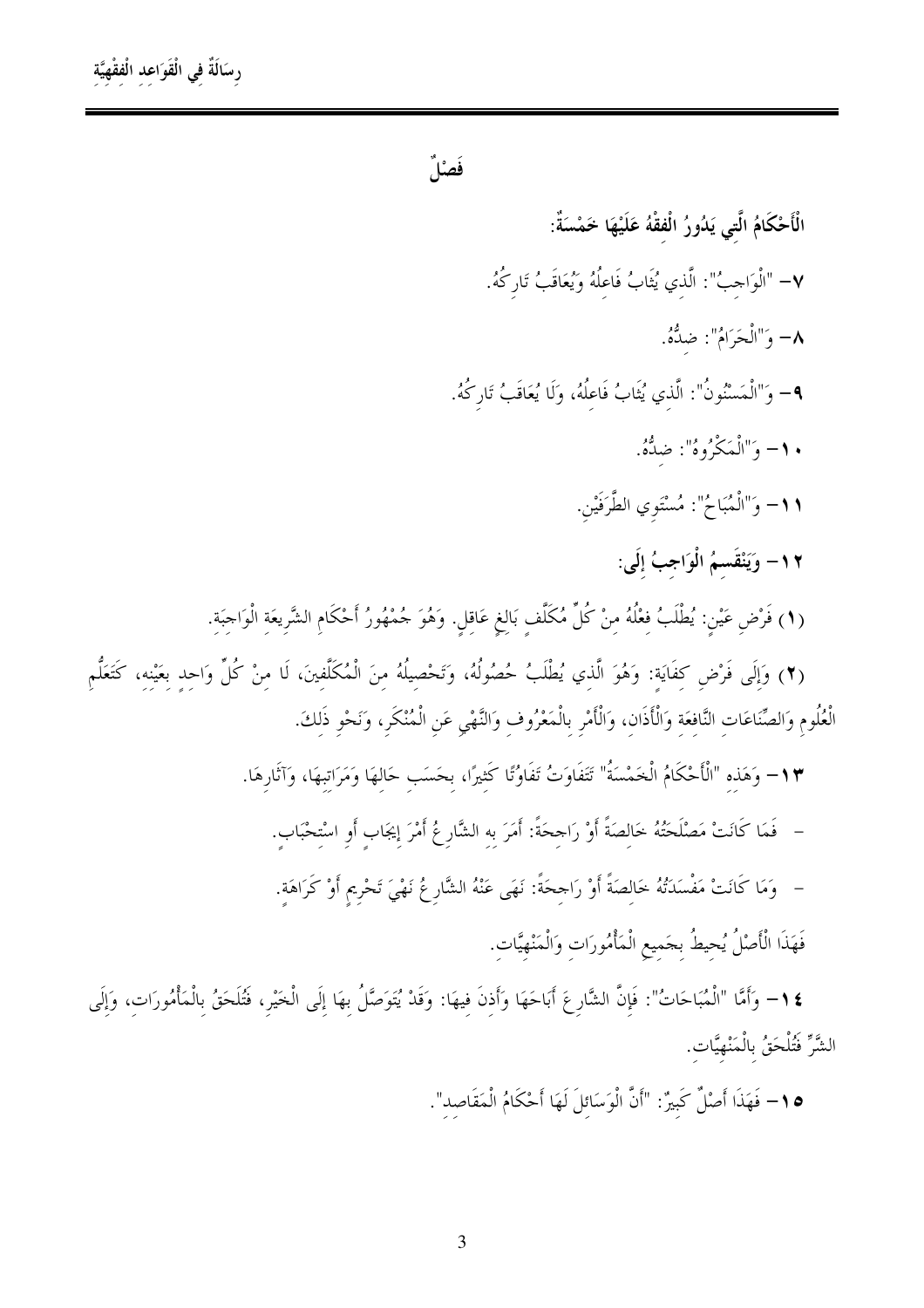فَصْلٌ

الْأَحْكَامُ الَّتى يَدُورُ الْفقْهُ عَلَيْهَا خَمْسَةٌ: ٧– "الْوَاحِبُ": الَّذي يُثَابُ فَاعِلُهُ وَيُعَاقَبُ تَارِكُهُ. ٨- وَ"الْحَرَامُ": ضدُّهُ. **٩**– وَ"الْمَسْنُونُ": الَّذي يُثَابُ فَاعلُهُ، وَلَا يُعَاقَبُ تَارِكُهُ. • ١- وَ"الْمَكْرُوهُ": ضِدُّهُ. ١١- وَ"الْمُبَاحُ": مُسْتَوِي الطَّرَفَيْنِ. ١٢- وَيَنْقَسمُ الْوَاجِبُ إِلَى: (١) فَرْضِ عَيْنِ: يُطْلَبُ فِعْلُهُ مِنْ كُلِّ مُكَلَّفٍ بَالِغٍ عَاقِلٍ. وَهُوَ جُمْهُورُ أَحْكَامِ الشَّرِيعَةِ الْوَاجبَةِ.

(٢) وَإِلَى فَرْضِ كَفَايَة: وَهُوَ الَّذي يُطْلَبُ حُصُولُهُ، وَتَحْصِيلُهُ منَ الْمُكَلَّفينَ، لَا منْ كُلِّ وَاحد بعَيْنه، كَتَعَلَّم الْعُلُومِ وَالصِّنَاعَاتِ النَّافِعَةِ وَالْأَذَانِ، وَالْأَمْرِ بِالْمَعْرُوفِ وَالنَّهْيِ عَنِ الْمُنْكَرِ، وَنَحْوِ ذَلِكَ.

١٣- وَهَذِهِ "الْأَحْكَامُ الْخَمْسَةُ" تَتَفَاوَتُ تَفَاوُتًا كَثِيرًا، بحَسَبٍ حَالِهَا وَمَرَاتِبِهَا، وَآثَارِهَا.

- فَمَا كَانَتْ مَصْلَحَتُهُ خَالِصَةً أَوْ رَاجِحَةً: أَمَرَ بِهِ الشَّارِعُ أَمْرَ إِيجَابٍ أَوِ اسْتِحْبَاب
- ۚ وَمَا كَانَتْ مَفْسَدَتُهُ خَالصَةً أَوْ رَاحِحَةً: نَهَى عَنْهُ الشَّارِ عُ نَهْيَ تَحْرِيم أَوْ كَرَاهَة.

فَهَذَا الْأَصْلُ يُحيطُ بجَميع الْمَأْمُورَات وَالْمَنْهِيَّات.

\$ ١- وَأَمَّا "الْمُبَاحَاتُ": فَإِنَّ الشَّارِعَ أَبَاحَهَا وَأَذنَ فِيهَا: وَقَدْ يُتَوَصَّلُ بِهَا إِلَى الْخَيْرِ، فَتُلَحَقُ بِالْمَأْمُورَاتِ، وَإِلَى الشَّرِّ فَتُلْحَقُ بِالْمَنْهِيَّات.

0 \ – فَهَذَا أَصْلٌ كَبِيرٌ: "أَنَّ الْوَسَائلَ لَهَا أَحْكَامُ الْمَقَاصِد".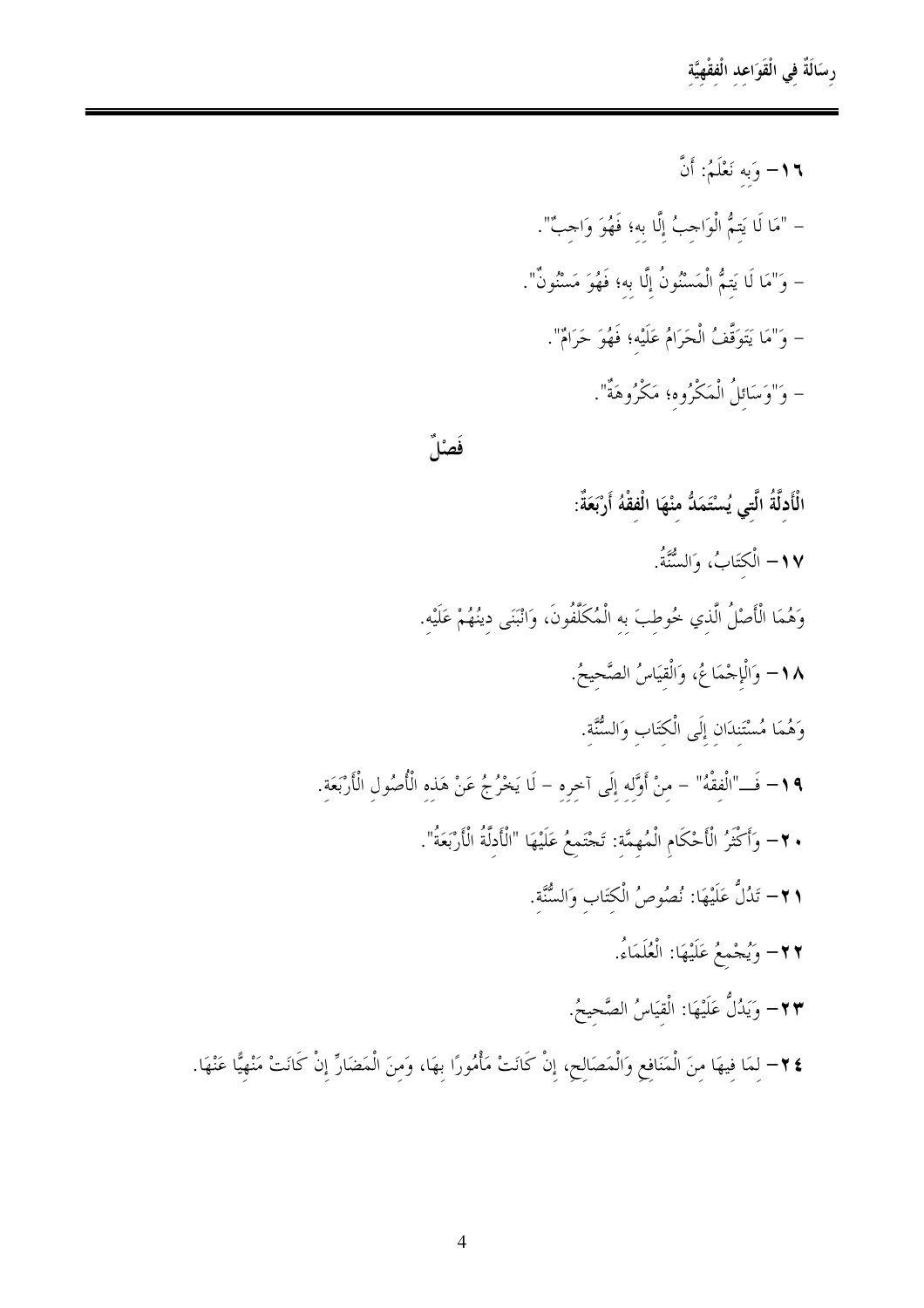رسَالَةٌ في الْقَوَاعد الْفقْهِيَّة

١٦- وَبه نَعْلَمُ: أَنَّ – "مَا لَا يَتمُّ الْوَاحِبُ إِلَّا به؛ فَهُوَ وَاحِبٌ". – وَ"مَا لَا يَتمُّ الْمَسْنُونُ إِلَّا به؛ فَهُوَ مَسْنُونٌ". – وَ"مَا يَتَوَقَّفُ الْحَرَامُ عَلَيْه؛ فَهُوَ حَرَامٌ". – وَ"وَسَائلُ الْمَكْرُوه؛ مَكْرُوهَةٌ".

#### فَصْلٌ

الْأَدلَّةُ الَّتى يُسْتَمَدُّ منْهَا الْفقْهُ أَرْبَعَةٌ: 1٧– الْكتَابُ، وَالسُّنَّةُ. وَهُمَا الْأَصْلُ الَّذي خُوطِبَ به الْمُكَلَّفُونَ، وَانْبَنَى دينُهُمْ عَلَيْه. 1٨– وَالْإِجْمَاعُ، وَالْقيَاسُ الصَّحِيحُ. وَهُمَا مُسْتَنِدَانِ إِلَى الْكِتَابِ وَالسُّنَّةِ. ١٩- فَــ"الْفقْهُ" – مِنْ أَوَّله إِلَى آخِرِهِ – لَا يَخْرُجُ عَنْ هَذِهِ الْأُصُولِ الْأَرْبَعَةِ. • ٢- وَأَكْثَرُ الْأَحْكَامِ الْمُهِمَّة: تَجْتَمعُ عَلَيْهَا "الْأَدلَّةُ الْأَرْبَعَةُ". ٢١- تَدُلُّ عَلَيْهَا: نُصُوصُ الْكتَابِ وَالسُّنَّة. ٢٢- وَيُجْمعُ عَلَيْهَا: الْعُلَمَاءُ. ٢٣- وَيَدُلُّ عَلَيْهَا: الْقِيَاسُ الصَّحِيحُ.

٢٤− لِمَا فِيهَا مِنَ الْمَنَافِعِ وَالْمَصَالِحِ، إِنْ كَانَتْ مَأْمُورًا بهَا، وَمِنَ الْمَضَارِّ إِنْ كَانَتْ مَنْهِيًّا عَنْهَا.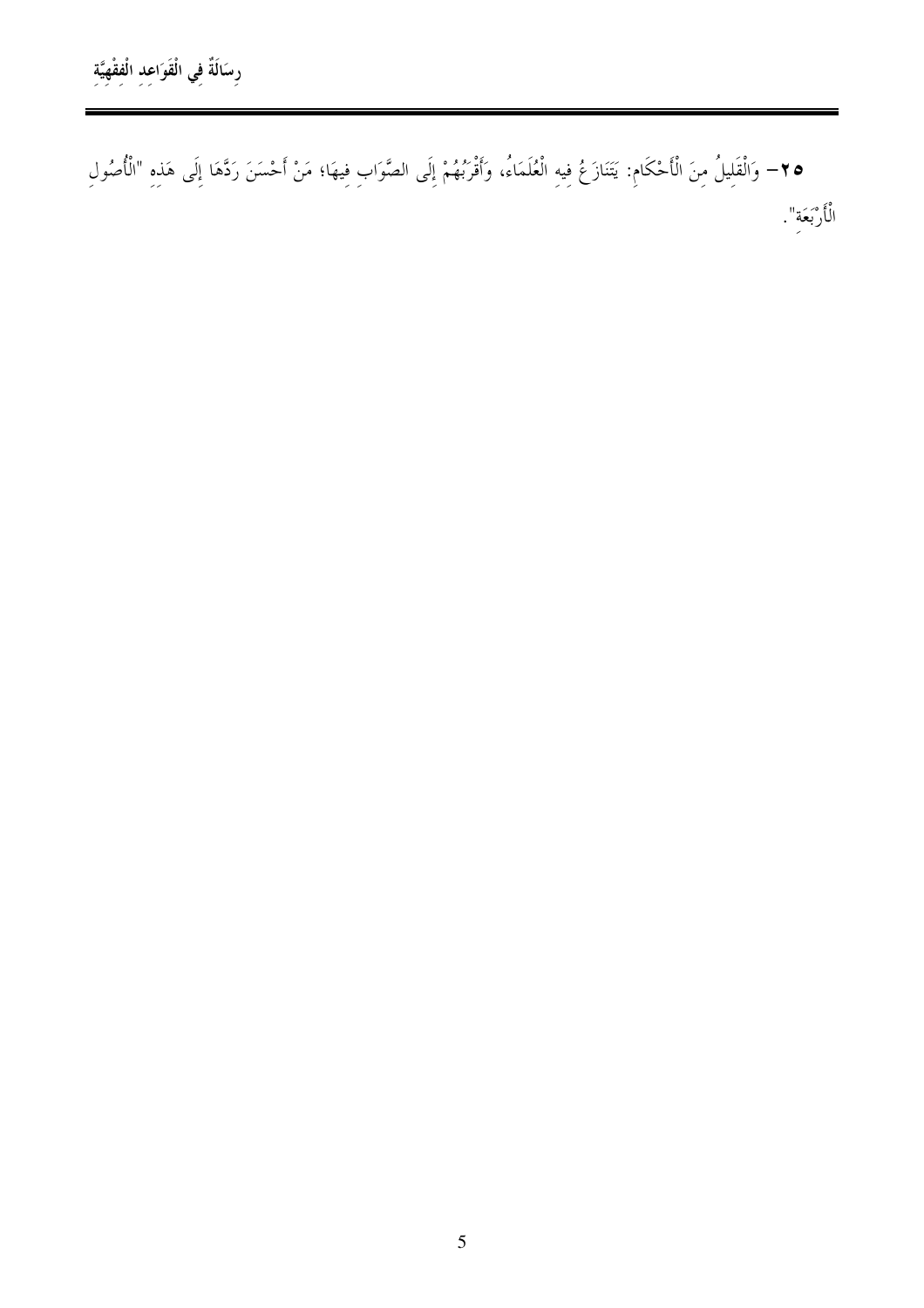• ٣- وَالْقَلِيلُ مِنَ الْأَحْكَامِ: يَتَنَازَعُ فِيهِ الْعُلَمَاءُ، وَأَقْرَبُهُمْ إِلَى الصَّوَابِ فِيهَا؛ مَنْ أَحْسَنَ رَدَّهَا إِلَى هَذِهِ "الْأُصُولِ الْأَرْبَعَةِ".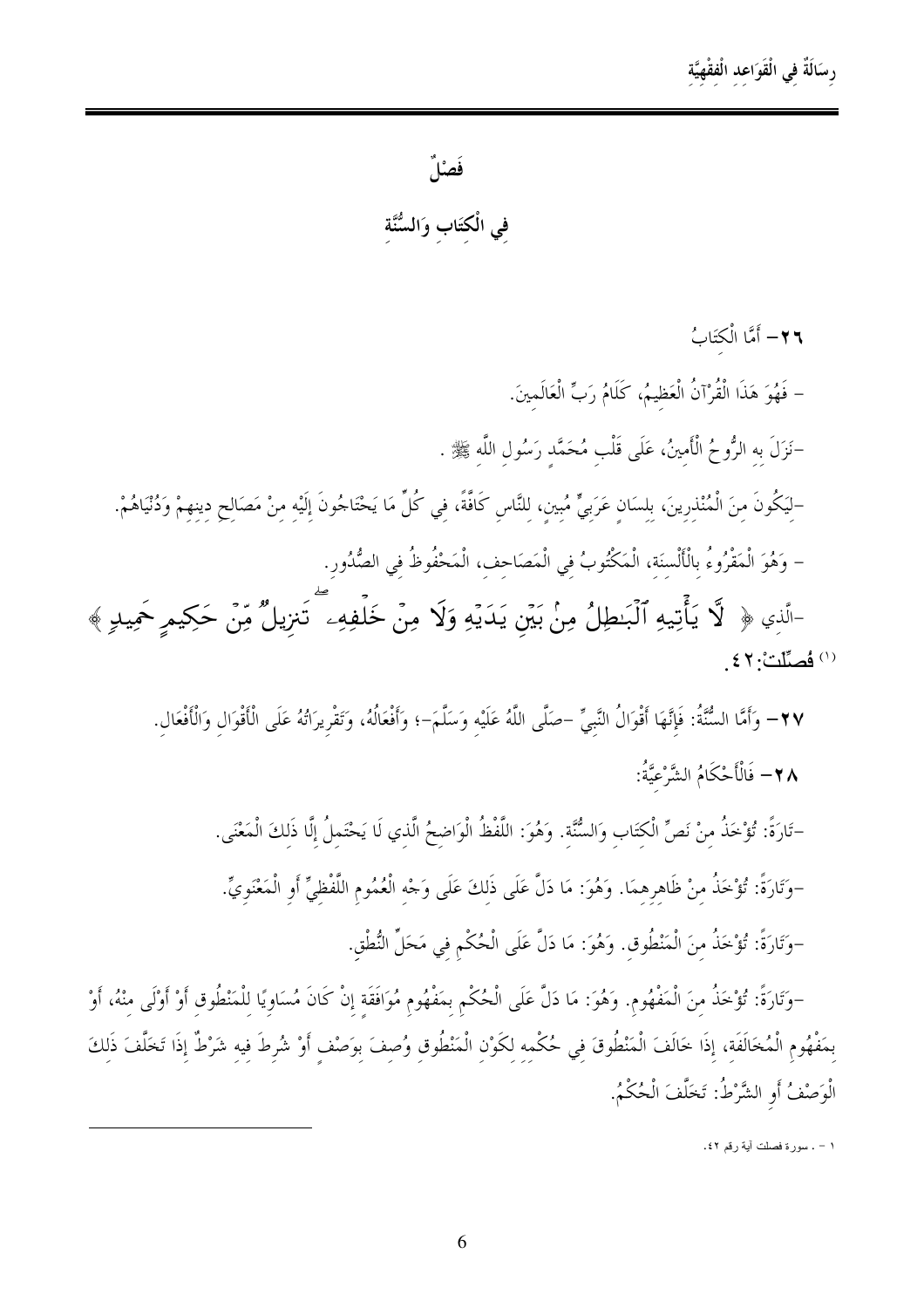فَصْلٌ

في الْكتَاب وَالسُّنَّة

٢٦- أَمَّا الْكتَابُ – فَهُوَ هَذَا الْقُرْآنُ الْعَظِيمُ، كَلَامُ رَبٍّ الْعَالَمِينَ. –نَزَلَ به الرُّوحُ الْأَمينُ، عَلَى قَلْب مُحَمَّد رَسُول اللَّه ﷺ . –لَيَكُونَ منَ الْمُنْذرِينَ، بلسَانِ عَرَبِيٍّ مُبِينِ، لِلنَّاسِ كَافَّةً، فِي كُلِّ مَا يَحْتَاحُونَ إِلَيْهِ مِنْ مَصَالِحٍ دينِهِمْ وَدُنْيَاهُمْ. – وَهُوَ الْمَقْرُوءُ بِالْأَلْسِنَة، الْمَكْتُوبُ فِي الْمَصَاحفِ، الْمَحْفُوظُ فِي الصُّدُورِ.

-الَّذِي ﴿ لَا يَأْتِيهِ ٱلْبَـٰطِلُ مِنْ بَيْنِ يَدَيْهِ وَلَا مِنْ خَلْفِهِء ۖ تَنزِيلٌ مِّنْ حَكِيمِ حَمِيدٍ ﴾ (١) فُصِلِّلْتْ: ٤٢

٢٧– وَأَمَّا السُّنَّةُ: فَإِنَّهَا أَقْوَالُ النَّبيِّ –صَلَّى اللَّهُ عَلَيْه وَسَلَّمَ–؛ وَأَفْعَالُهُ، وَتَقْريرَاتُهُ عَلَى الْأَقْوَال وَالْأَفْعَال. \_<br>∧ ۲ – فَالْأَحْكَامُ الشَّرْعيَّةُ:

–تَارَةً: تُؤْخَذُ مِنْ نَصٍّ الْكِتَابِ وَالسُّنَّةِ. وَهُوَ: اللَّفْظُ الْوَاضحُ الَّذي لَا يَحْتَملُ إلَّا ذَلكَ الْمَعْنَى. –وَتَارَةً: تُؤْخَذُ منْ ظَاهرهمَا. وَهُوَ: مَا دَلَّ عَلَى ذَلكَ عَلَى وَجْه الْعُمُوم اللَّفْظيِّ أَو الْمَعْنَويِّ.

-وَتَارَةً: تُؤْخَذُ منَ الْمَنْطُوق. وَهُوَ: مَا دَلَّ عَلَى الْحُكْمِ في مَحَلِّ النُّطْق.

–وَتَارَةً: تُؤْخَذُ منَ الْمَفْهُوم. وَهُوَ: مَا دَلَّ عَلَى الْحُكْمِ بِمَفْهُومِ مُوَافَقَةٍ إِنْ كَانَ مُسَاوِيًا لِلْمَنْطُوقِ أَوْ أَوْلَى مِنْهُ، أَوْ بِمَفْهُومِ الْمُخَالَفَةِ، إِذَا خَالَفَ الْمَنْطُوقَ فِي حُكْمِهِ لِكَوْنِ الْمَنْطُوقِ وُصِفَ بِوَصْفٍ أَوْ شُرِطَ فِيهِ شَرْطٌ إِذَا تَخَلَّفَ ذَلِكَ الْوَصْفُ أَوِ الشَّرْطُ: تَخَلَّفَ الْحُكْمُ.

١ - . سورة فصلت أية رقم ٤٢.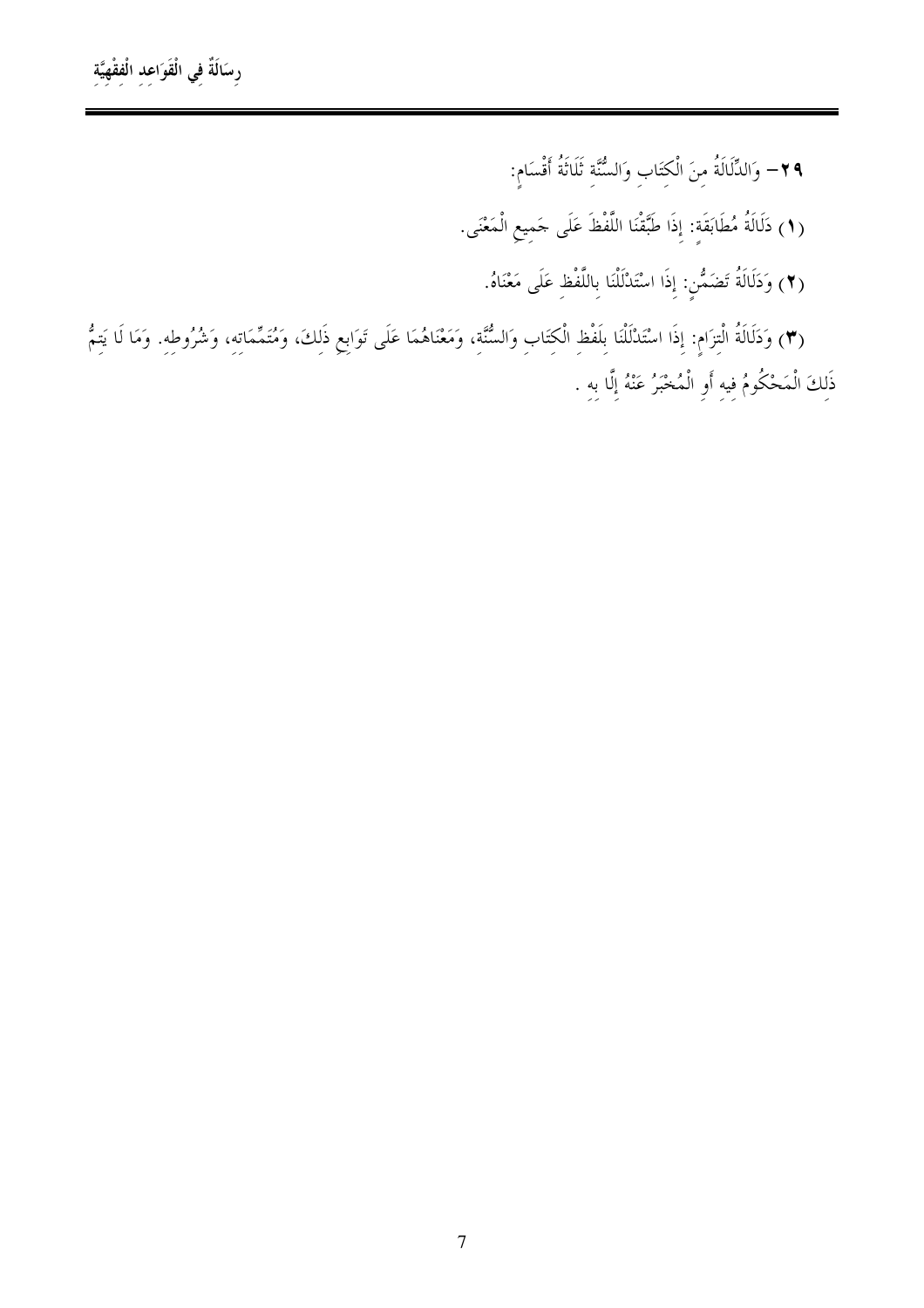٢٩- وَالدِّلَالَةُ مِنَ الْكِتَابِ وَالسُّنَّةِ ثَلَاثَةُ أَقْسَامٍ: (١) دَلَالَةُ مُطَابَقَةٍ: إِذَا طَبَّقْنَا اللَّفْظَ عَلَى حَمِيعِ الْمَعْنَى. (٢) وَدَلَالَةُ تَضَمُّنٍ: إِذَا اسْتَدْلَلْنَا بِاللَّفْظِ عَلَى مَعْنَاهُ.

(٣) وَدَلَالَةُ الْتِزَامِ: إِذَا اسْتَدْلَلْنَا بِلَفْظِ الْكِتَابِ وَالسُّنَّةِ، وَمَعْنَاهُمَا عَلَى تَوَابِعِ ذَلِكَ، وَمُتَمِّمَاتِهِ، وَشُرُوطِهِ. وَمَا لَا يَتِمُّ ذَلِكَ الْمَحْكُومُ فِيهِ أَوِ الْمُخْبَرُ عَنْهُ إِلَّا بِهِ .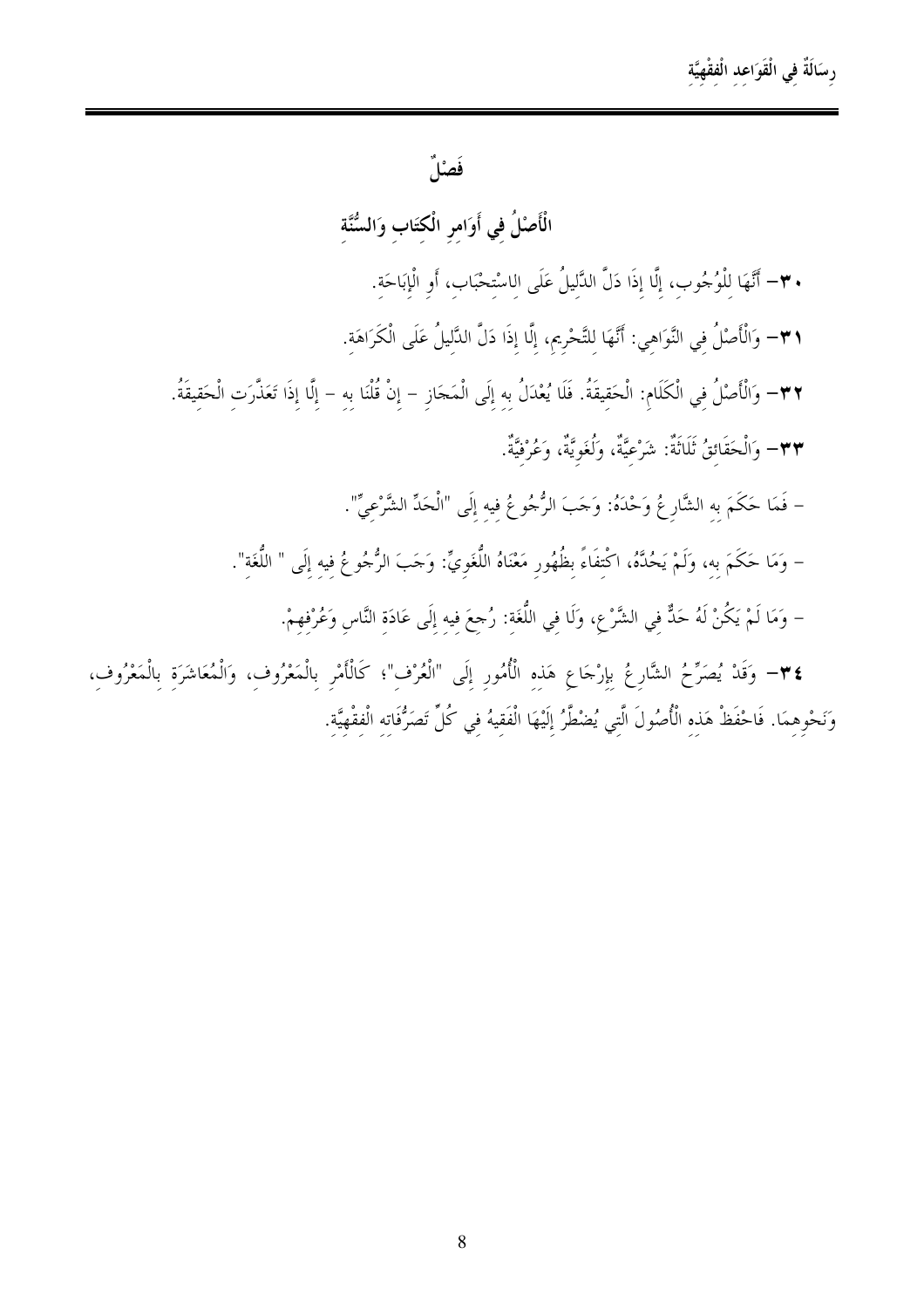## رسَالَةٌ في الْقَوَاعد الْفقْهِيَّة

### فَصْلٌ

الْأَصْلُ في أَوَامر الْكتَاب وَالسُّنَّة

- . ٣- أَنَّهَا لِلْوُجُوبِ، إِلَّا إِذَا دَلَّ الدَّلِيلُ عَلَى الِاسْتِحْبَابِ، أَوِ الْإِبَاحَةِ.
- ٣١– وَالْأَصْلُ فِي النَّوَاهِي: أَنَّهَا لِلتَّحْرِيمِ، إِلَّا إِذَا دَلَّ الدَّلِيلُ عَلَى الْكَرَاهَةِ.

٣٢– وَالْأَصْلُ في الْكَلَام: الْحَقيقَةُ. فَلَا يُعْدَلُ بِهِ إِلَى الْمَحَازِ – إِنْ قُلْنَا بِهِ – إِلَّا إِذَا تَعَذَّرَت الْحَقِيقَةُ. ٣٣- وَالْحَقَائقُ ثَلَاثَةٌ: شَرْعيَّةٌ، وَلُغَويَّةٌ، وَعُرْفيَّةٌ.

- فَمَا حَكَمَ به الشَّارِ عُ وَحْدَهُ: وَحَبَ الرُّجُوعُ فيه إِلَى "الْحَدِّ الشَّرْعيِّ".
- وَمَا حَكَمَ به، وَلَمْ يَحُدَّهُ، اكْتفَاءً بظُهُور مَعْنَاهُ اللُّغَويِّ: وَجَبَ الرُّجُوعُ فيه إلَى " اللُّغَة".

– وَمَا لَمْ يَكُنْ لَهُ حَذٌّ فِي الشَّرْعِ، وَلَا فِي اللُّغَةِ: رُجِعَ فِيهِ إِلَى عَادَةِ النَّاسِ وَعُرْفهِمْ.

٢٤- وَقَدْ يُصَرِّحُ الشَّارِعُ بِإِرْجَاعِ هَذِهِ الْأُمُورِ إِلَى "الْعُرْفِ"؛ كَالْأَمْرِ بِالْمَعْرُوف، وَالْمُعَاشَرَة بِالْمَعْرُوف، وَنَحْوِهِمَا. فَاحْفَظْ هَذِهِ الْأُصُولَ الَّتِي يُضْطَّرُ إِلَيْهَا الْفَقِيهُ فِي كُلِّ تَصَرُّفَاتِه الْفقْهِيَّة.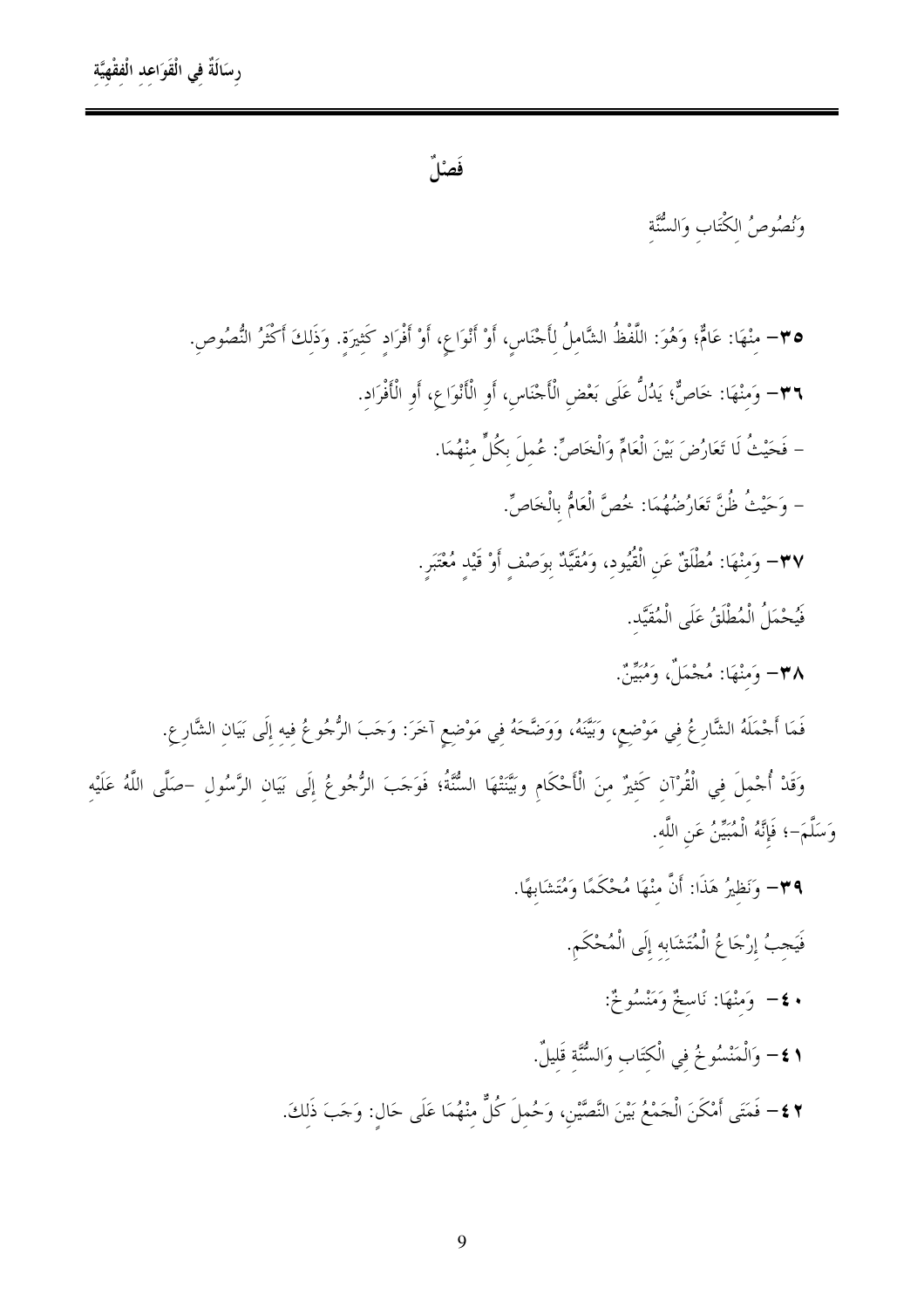فَصْلٌ

وَنُصُوصُ الكْتَابِ وَالسُّنَّة

• ٣- منْهَا: عَامٌّ؛ وَهُوَ: اللَّفْظُ الشَّاملُ لأَجْنَاس، أَوْ أَنْوَاعِ، أَوْ أَفْرَاد كَثيرَة. وَذَلكَ أَكْثَرُ النُّصُوص. ٣٦– وَمنْهَا: خَاصٌّ؛ يَدُلُّ عَلَى بَعْض الْأَجْنَاس، أَو الْأَنْوَاعِ، أَو الْأَفْرَاد. – فَحَيْثُ لَا تَعَارُضَ بَيْنَ الْعَامِّ وَالْخَاصِّ: عُملَ بِكُلِّ منْهُمَا. – وَحَيْثُ ظُنَّ تَعَارُضُهُمَا: خُصَّ الْعَامُّ بِالْخَاصِّ. ٣٧– وَمِنْهَا: مُطْلَقٌ عَنِ الْقُيُودِ، وَمُقَيَّدٌ بِوَصْفٍ أَوْ قَيْدٍ مُعْتَبَرٍ. فَيُحْمَلُ الْمُطْلَقُ عَلَى الْمُقَيَّد. ٣٨= وَمنْهَا: مُجْمَلٌ، وَمُبَيِّنٌ. فَمَا أَجْمَلَهُ الشَّارِعُ في مَوْضع، وَبَيِّنَهُ، وَوَضَّحَهُ فِي مَوْضِعِ آخَرَ: وَجَبَ الرُّجُوعُ فِيهِ إِلَى بَيَانِ الشَّارِعِ. وَقَدْ أُجْملَ في الْقُرْآن كَثيرٌ منَ الْأَحْكَام وبَيَّنْتَهَا السُّنَّةُ؛ فَوَجَبَ الرُّجُوعُ إلَى بَيان الرَّسُول –صَلَّى اللَّهُ عَلَيْه وَسَلَّمَ-؛ فَإِنَّهُ الْمُبَيِّنُ عَنِ اللَّه.

٣٩- وَنَظِيرُ هَذَا: أَنَّ منْهَا مُحْكَمًا وَمُتَشَابِهًا.

فَيَجبُ إرْجَاعُ الْمُتَشَابِه إِلَى الْمُحْكَمِ. • ٤– وَمَنْهَا: نَاسخٌ وَمَنْسُوخٌ: 1 £− وَالْمَنْسُوخُ في الْكتَاب وَالسُّنَّة قَليلٌ. ٢ ٤ – فَمَتَى أَمْكَنَ الْحَمْعُ بَيْنَ النَّصَّيْنِ، وَحُملَ كُلٌّ منْهُمَا عَلَى حَال: وَحَبَ ذَلكَ.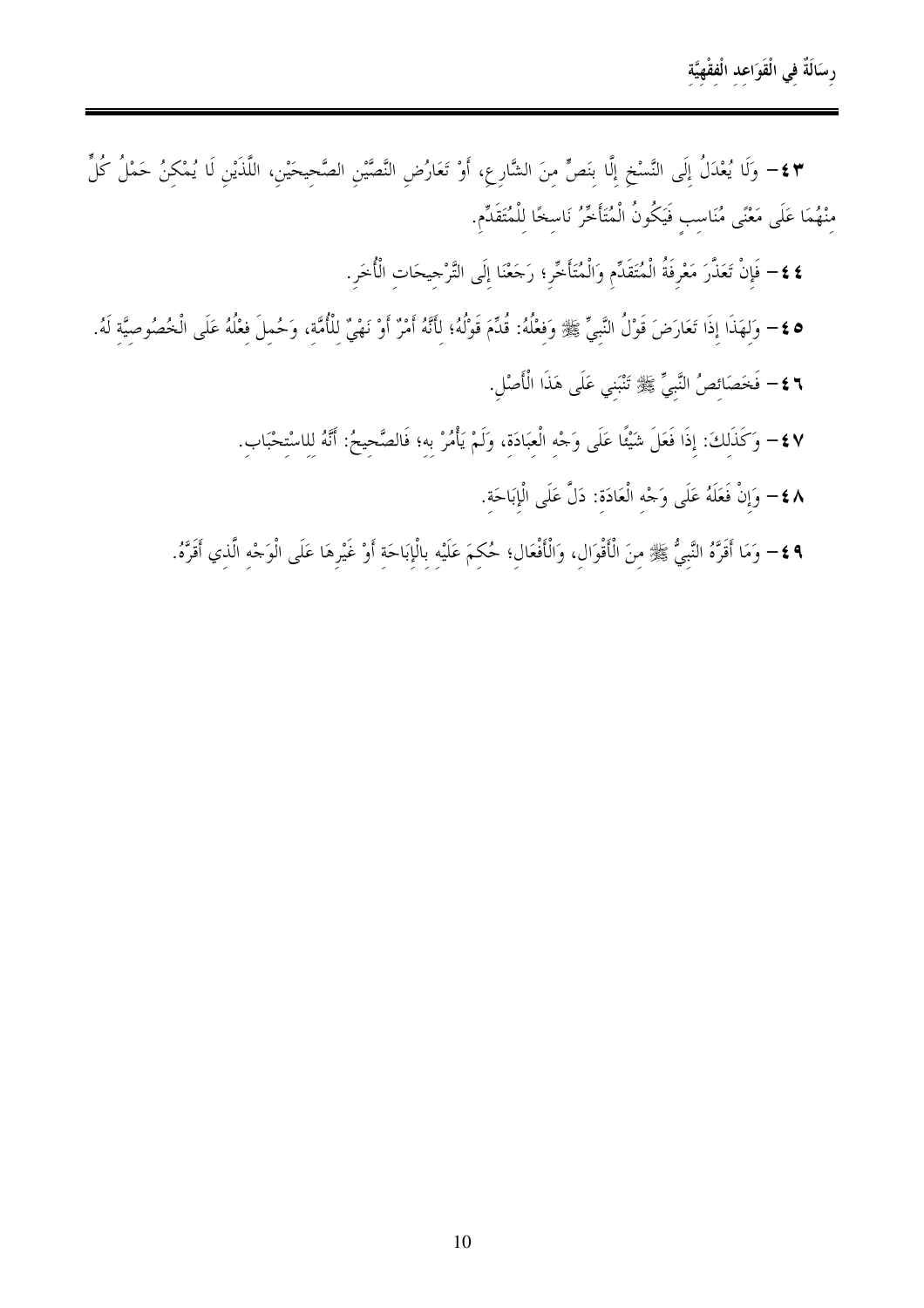\*\$= وَلَا يُعْدَلُ إِلَى النَّسْخِ إِلَّا بِنَصٍّ مِنَ الشَّارِعِ، أَوْ تَعَارُضِ النَّصَّيْنِ الصَّحِيحَيْنِ، اللَّذَيْنِ لَا يُمْكِنُ حَمْلُ كُلٍّ مِنْهُمَا عَلَى مَعْنًى مُنَاسِبٍ فَيَكُونُ الْمُتَأَخَّرُ نَاسِخًا لِلْمُتَقَدِّمِ.

- **٤ ٤**− فَإِنْ تَعَذَّرَ مَعْرِفَةُ الْمُتَقَدِّمِ وَالْمُتَأَخِّرِ؛ رَجَعْنَا إِلَى التَّرْجِيحَاتِ الْأُخَرِ.
- ٥ ٤ وَلهَذَا إذَا تَعَارَضَ قَوْلُ النَّبيِّ ﷺ وَفعْلُهُ: قُدِّمَ قَوْلُهُ؛ لأَنَّهُ أَمْرٌ أَوْ نَهْيٌ للأُمَّة، وَحُمِلَ فعْلُهُ عَلَى الْخُصُوصيَّة لَهُ. **٢ ٤ –** فَخَصَائصُ النَّبيِّ ﷺ تَنْبَني عَلَى هَذَا الْأَصْلِ.
	- ٤٧ وَكَذَلِكَ: إِذَا فَعَلَ شَيْئًا عَلَى وَجْهِ الْعِبَادَةِ، وَلَمْ يَأْمُرْ بِهِ؛ فَالصَّحِيحُ: أَنَّهُ لِلاسْتِحْبَابِ.
		- ٨٤− وَإِنْ فَعَلَهُ عَلَى وَجْه الْعَادَة: دَلَّ عَلَى الْإِبَاحَة.
	- ٩ ٤− وَمَا أَقَرَّهُ النَّبيُّ ﷺ مِنَ الْأَقْوَالِ، وَالْأَفْعَالِ؛ حُكِمَ عَلَيْهِ بِالْإِبَاحَةِ أَوْ غَيْرِهَا عَلَى الْوَجْهِ الَّذِي أَقَرَّهُ.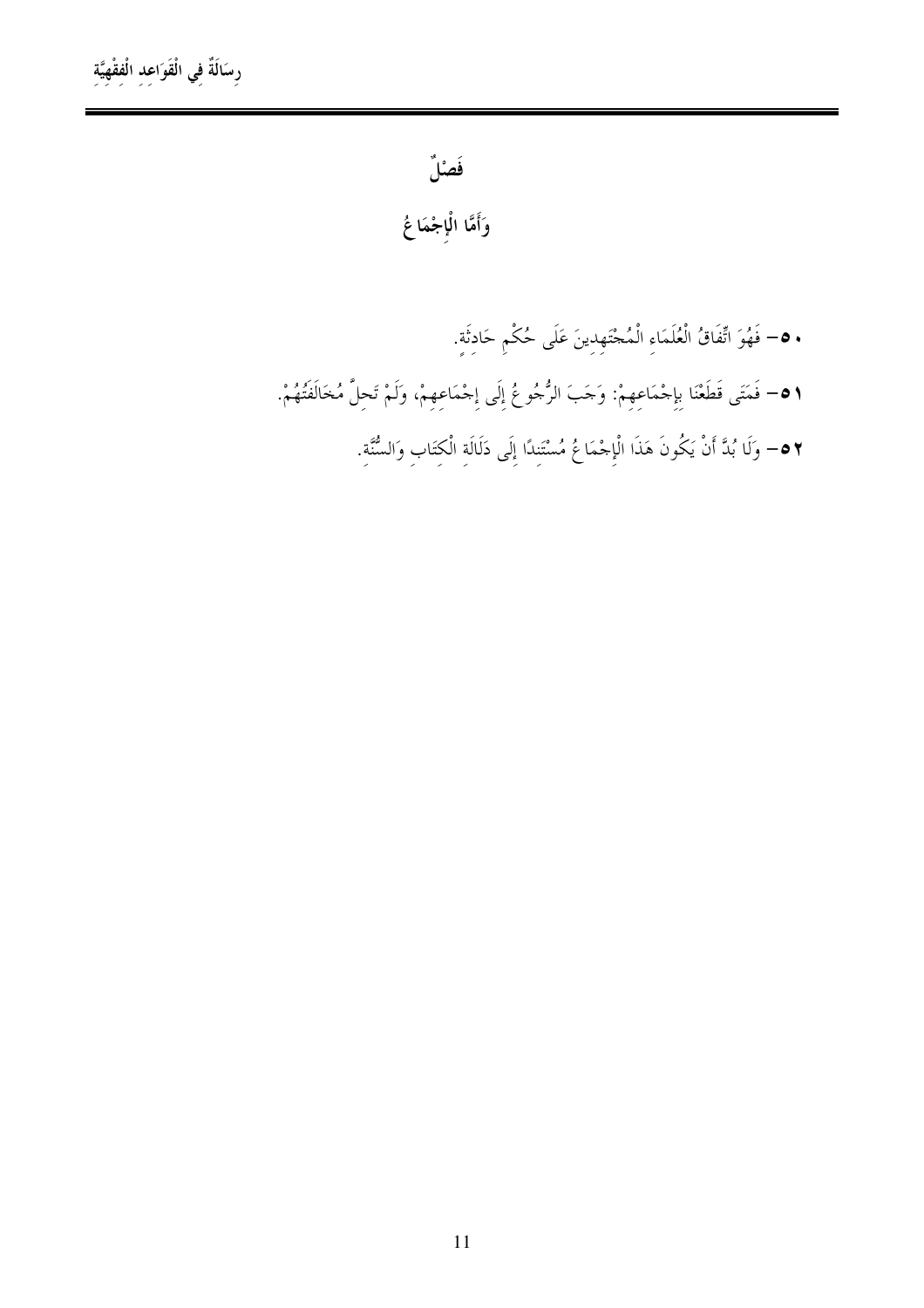فَصْلٌ

وَأَمَّا الْإجْمَاعُ

• ٥- فَهُوَ اتِّفَاقُ الْعُلَمَاءِ الْمُجْتَهِدِينَ عَلَى حُكْمٍ حَادِثَةٍ. ٥١= فَمَتَى قَطَعْنَا بِإِحْمَاعِهِمْ: وَجَبَ الرُّجُوعُ إِلَى إِحْمَاعِهِمْ، وَلَمْ تَحِلَّ مُخَالَفَتُهُمْ. ٢ ٥− وَلَا بُدَّ أَنْ يَكُونَ هَذَا الْإِجْمَاعُ مُسْتَنِدًا إِلَى دَلَالَةِ الْكِتَابِ وَالسُّنَّةِ.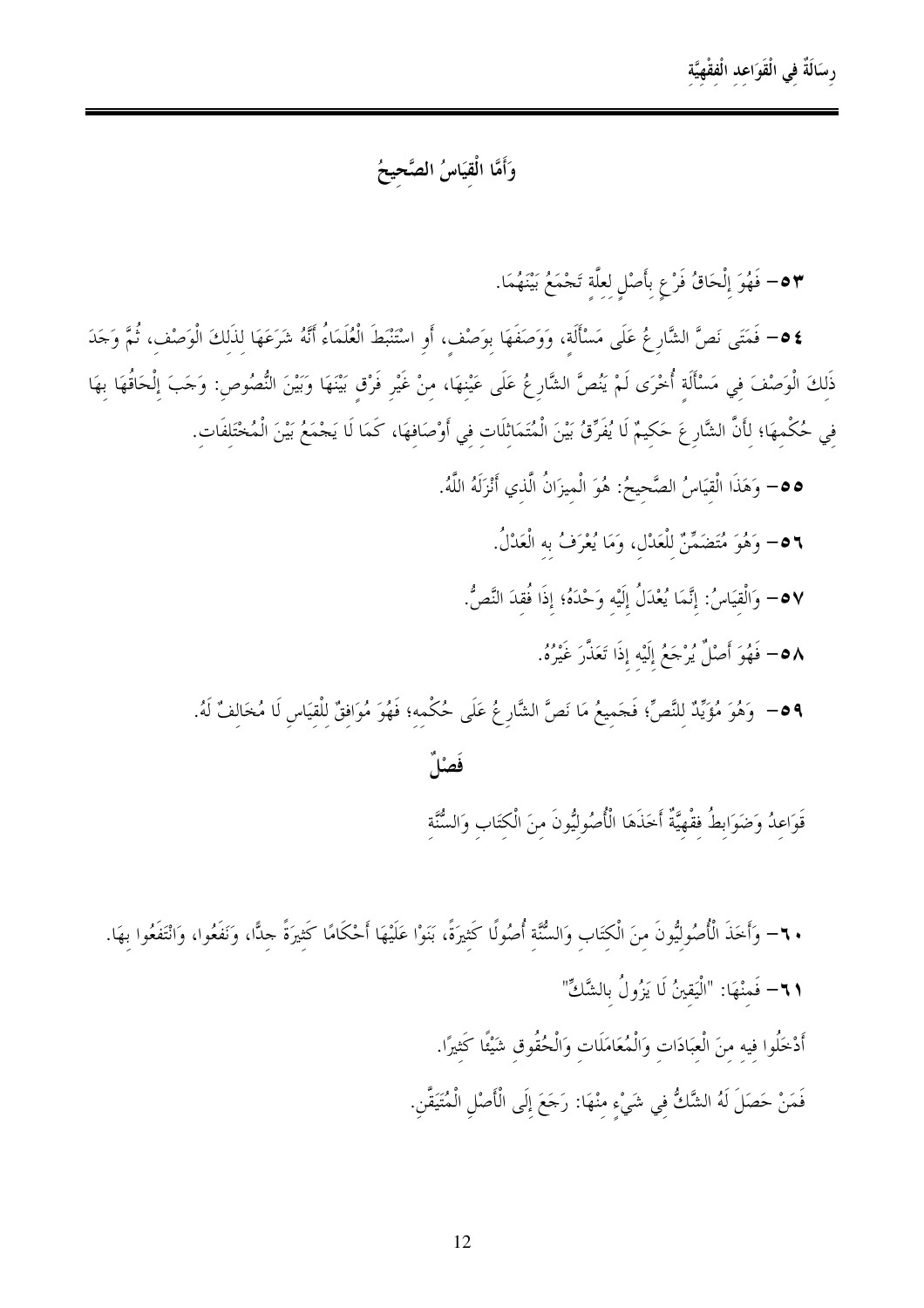رسَالَةٌ في الْقَوَاعد الْفقْهِيَّة

### وَأَمَّا الْقِيَاسُ الصَّحِيحُ

6٣ - فَهُوَ إِلْحَاقُ فَرْعٍ بِأَصْلِ لِعِلَّةِ تَجْمَعُ بَيْنَهُمَا.

\$ ٥= فَمَتَى نَصَّ الشَّارِعُ عَلَى مَسْأَلَة، وَوَصَفَهَا بِوَصْفٍ، أَوِ اسْتَنْبَطَ الْعُلَمَاءُ أَنَّهُ شَرَعَهَا لِذَلِكَ الْوَصْفِ، ثُمَّ وَجَدَ ذَلكَ الْوَصْفَ في مَسْأَلَة أُخْرَى لَمْ يَنُصَّ الشَّارِعُ عَلَى عَيْنهَا، منْ غَيْر فَرْق بَيْنَهَا وَبَيْنَ النُّصُوص: وَحَبَ إلْحَاقُهَا بهَا فِي حُكْمِهَا؛ لِأَنَّ الشَّارِعَ حَكِيمٌ لَا يُفَرِّقُ بَيْنَ الْمُتَمَاثِلَاتِ فِي أَوْصَافِهَا، كَمَا لَا يَجْمَعُ بَيْنَ الْمُخْتَلِفَاتِ.

0 0- وَهَذَا الْقيَاسُ الصَّحيحُ: هُوَ الْميزَانُ الَّذي أَنْزَلَهُ اللَّهُ.

٥٦= وَهُوَ مُتَضَمِّنٌ للْعَدْل، وَمَا يُعْرَفُ به الْعَدْلُ.

0٧= وَالْقيَاسُ: إنَّمَا يُعْدَلُ إِلَيْه وَحْدَهُ؛ إذَا فُقدَ النَّصُّ.

0٨= فَهُوَ أَصْلٌ يُرْجَعُ إِلَيْهِ إِذَا تَعَذَّرَ غَيْرُهُ.

09 – وَهُوَ مُؤَيِّدٌ للنَّصِّ؛ فَجَميعُ مَا نَصَّ الشَّارِ عُ عَلَى حُكْمه؛ فَهُوَ مُوَافقٌ للْقيَاس لَا مُخَالفٌ لَهُ.

فَصْلٌ

قَوَاعدُ وَضَوَابطُ فقْهيَّةٌ أَخَذَهَا الْأُصُوليُّونَ منَ الْكتَابِ وَالسُّنَّة

+ ٦- وَأَخَذَ الْأُصُولِيُّونَ مِنَ الْكِتَابِ وَالسُّنَّةِ أُصُولًا كَثِيرَةً، بَنَوْا عَلَيْهَا أَحْكَامًا كَثيرَةً حلًّا، وَنَفَعُوا، وَانْتَفَعُوا بهَا. 11- فَمنْهَا: "الْيَقينُ لَا يَزُولُ بِالشَّكِّ" أَدْخَلُوا فيه منَ الْعبَادَات وَالْمُعَامَلَات وَالْحُقُوق شَيْئًا كَثيرًا. فَمَنْ حَصَلَ لَهُ الشَّكُّ في شَيْء منْهَا: رَجَعَ إلَى الْأَصْلِ الْمُتَيَقَّنِ.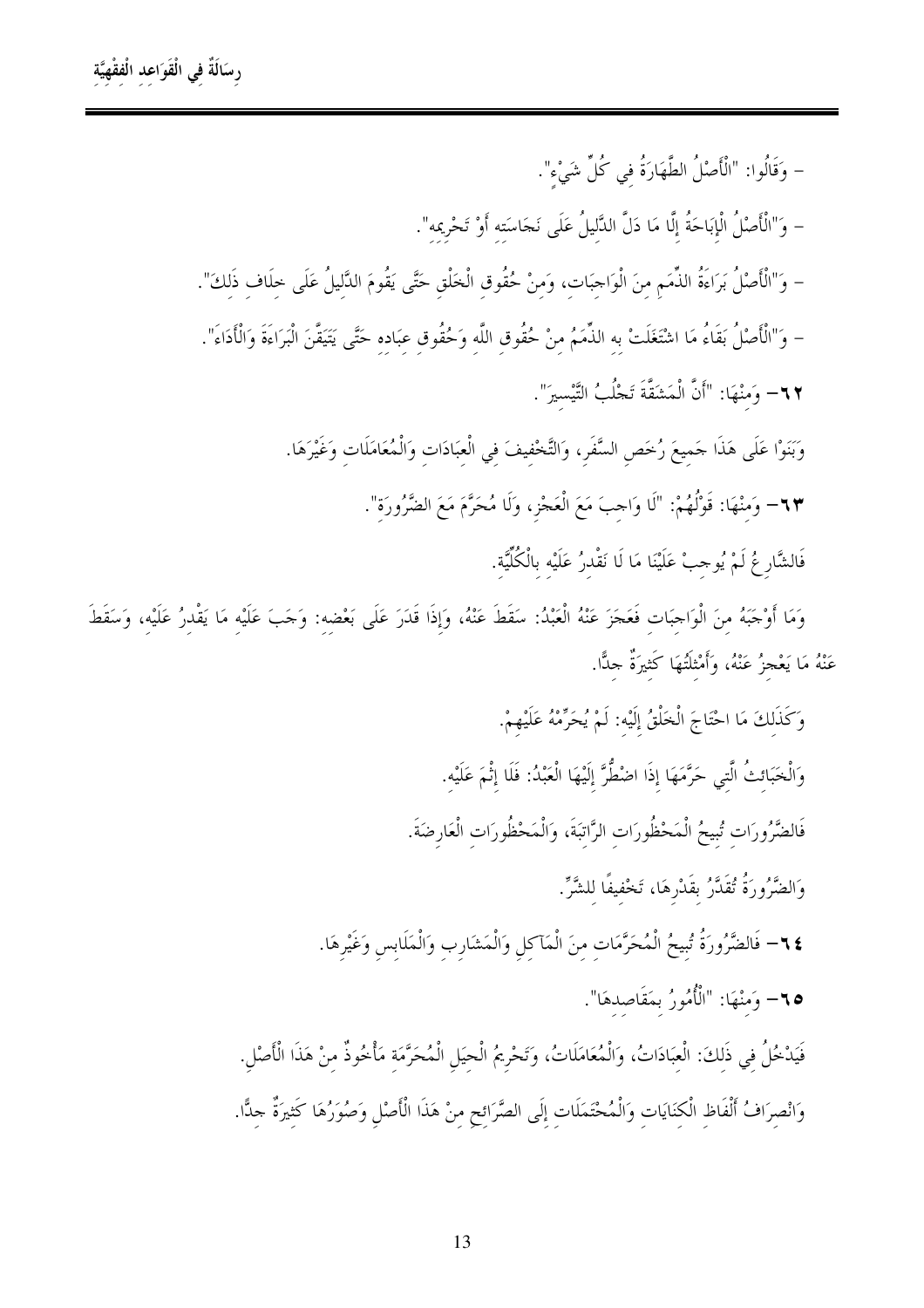– وَقَالُوا: "الْأَصْلُ الطَّهَارَةُ في كُلِّ شَيْء". – وَ"الْأَصْلُ الْإِبَاحَةُ إِلَّا مَا دَلَّ الدَّليلُ عَلَى نَجَاسَته أَوْ تَحْرِيمه". – وَ"الْأَصْلُ بَرَاءَةُ الذِّمَمِ مِنَ الْوَاحِبَات، وَمنْ حُقُوق الْخَلْق حَتَّى يَقُومَ الدَّليلُ عَلَى خلَاف ذَلكَ". – وَ"الْأَصْلُ بَقَاءُ مَا اشْتَغَلَتْ به الذِّمَمُ مِنْ حُقُوق اللَّه وَحُقُوق عِبَادِه حَتَّى يَتَيَقَّنَ الْبَرَاءَةَ وَالْأَدَاءَ". ٢٣- وَمنْهَا: "أَنَّ الْمَشَقَّةَ تَجْلُبُ التَّيْسيرَ". وَبَنَوْا عَلَى هَذَا حَميعَ رُخَص السَّفَرِ، وَالتَّخْفيفَ في الْعبَادَات وَالْمُعَامَلَات وَغَيْرَهَا. ٦٣– وَمنْهَا: قَوْلُهُمْ: "لَا وَاحِبَ مَعَ الْعَجْزِ، وَلَا مُحَرَّمَ مَعَ الضَّرُورَة". فَالشَّارِعُ لَمْ يُوحِبْ عَلَيْنَا مَا لَا نَقْدرُ عَلَيْه بِالْكُلِّيَّة.

وَمَا أَوْجَبَهُ منَ الْوَاجبَات فَعَجَزَ عَنْهُ الْعَبْدُ: سَقَطَ عَنْهُ، وَإِذَا قَدَرَ عَلَى بَعْضِهِ: وَجَبَ عَلَيْهِ مَا يَقْدِرُ عَلَيْهِ، وَسَقَطَ عَنْهُ مَا يَعْجِزُ عَنْهُ، وَأَمْثِلَتُهَا كَثِيرَةٌ جِدًّا.

> وَكَذَلكَ مَا احْتَاجَ الْخَلْقُ إِلَيْه: لَمْ يُحَرِّمْهُ عَلَيْهِمْ. وَالْخَبَائتُ الَّتِي حَرَّمَهَا إذَا اضْطُّرَّ إِلَيْهَا الْعَبْدُ: فَلَا إِثْمَ عَلَيْه. فَالضَّرُورَاتِ تُبِيحُ الْمَحْظُورَاتِ الرَّاتِبَةَ، وَالْمَحْظُورَاتِ الْعَارِضَةَ.

> > وَالضَّرُورَةُ تُقَدَّرُ بقَدْرِهَا، تَخْفيفًا للشَّرِّ.

٢٤- فَالضَّرُورَةُ تُبِيحُ الْمُحَرَّمَات منَ الْمَآكِلِ وَالْمَشَارِبِ وَالْمَلَابِسِ وَغَيْرِهَا. 10- وَمنْهَا: "الْأُمُورُ بِمَقَاصِدِهَا".

فَيَدْخُلُ في ذَلكَ: الْعبَادَاتُ، وَالْمُعَامَلَاتُ، وَتَحْرِيمُ الْحيَلِ الْمُحَرَّمَة مَأْخُوذٌ منْ هَذَا الْأَصْل وَانْصِرَافُ أَلْفَاظِ الْكِنَايَاتِ وَالْمُحْتَمَلَاتِ إِلَى الصَّرَائِحِ مِنْ هَذَا الْأَصْلِ وَصُوَرُهَا كَثيرَةٌ حِلًّا.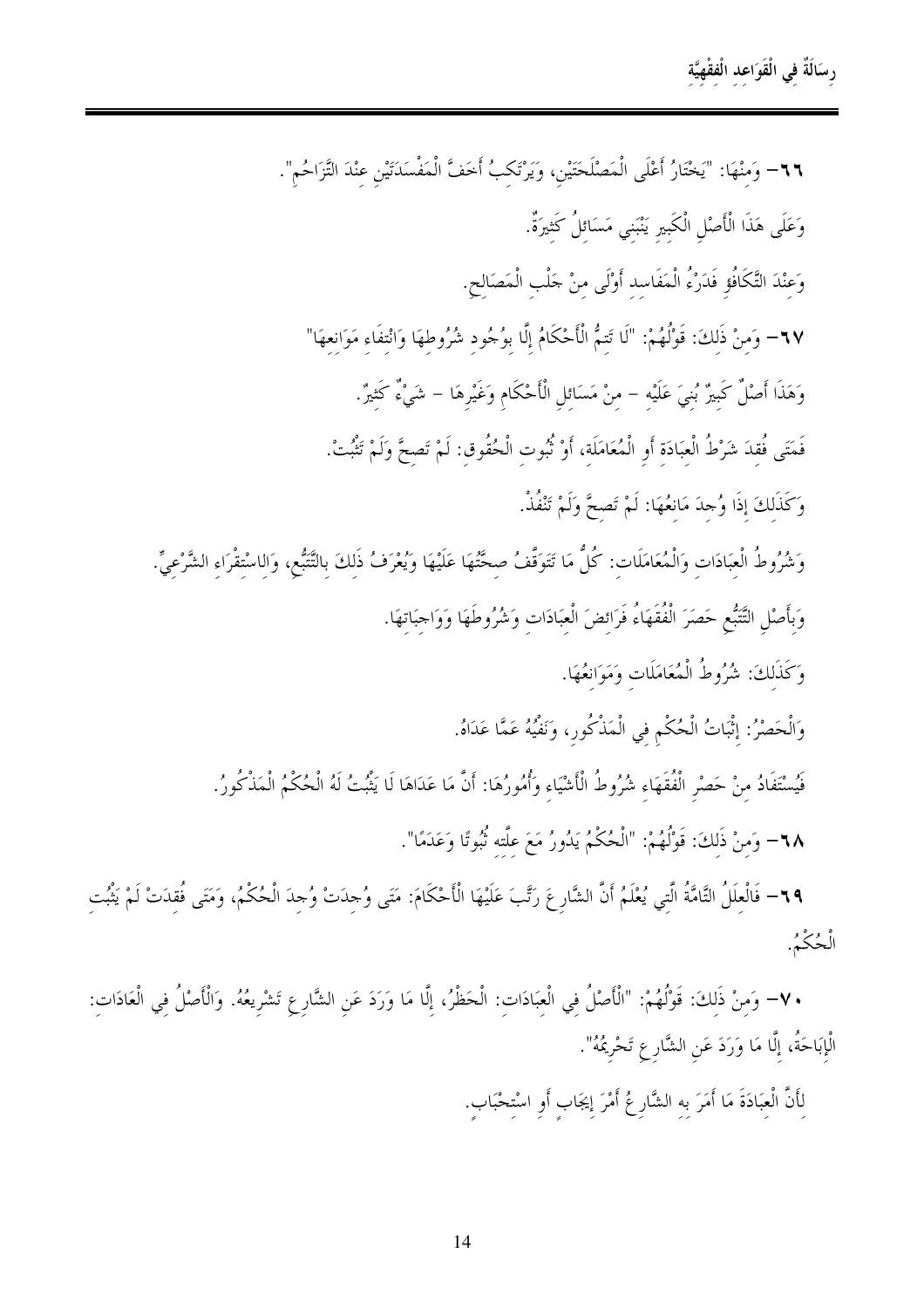٦٦- وَمنْهَا: "يَخْتَارُ أَعْلَى الْمَصْلَحَتَيْنِ، وَيَرْتَكبُ أَخفَّ الْمَفْسَدَتَيْنِ عِنْدَ التَّزَاحُم". وَعَلَى هَذَا الْأَصْلِ الْكَبِيرِ يَنْبَنى مَسَائلُ كَثيرَةٌ. وَعِنْدَ التَّكَافُوِّ فَدَرْءُ الْمَفَاسِدِ أَوْلَى مِنْ حَلْبِ الْمَصَالِحِ. ٦٧– وَمنْ ذَلكَ: قَوْلُهُمْ: "لَا تَتمُّ الْأَحْكَامُ إِلَّا بِوُجُودِ شُرُوطِهَا وَانْتِفَاءِ مَوَانِعِهَا" وَهَذَا أَصْلٌ كَبيرٌ بُنيَ عَلَيْه – منْ مَسَائل الْأَحْكَام وَغَيْرِهَا – شَيْءٌ كَثيرٌ. فَمَتَى فُقدَ شَرْطُ الْعبَادَة أَو الْمُعَامَلَة، أَوْ نُبُوت الْحُقُوق: لَمْ تَصِحَّ وَلَمْ تَثْبُتْ. وَكَذَلِكَ إِذَا وُجِدَ مَانِعُهَا: لَمْ تَصحَّ وَلَمْ تَنْفُذْ. وَشُرُوطُ الْعبَادَات وَالْمُعَامَلَات: كُلُّ مَا تَتَوَقَّفُ صحَّتُهَا عَلَيْهَا وَيُعْرَفُ ذَلكَ بالتَّتَبُّع، وَالاسْتقْرَاء الشَّرْعيِّ. وَبأَصْلِ التَّتَبُّعِ حَصَرَ الْفُقَهَاءُ فَرَائضَ الْعبَادَات وَشُرُوطَهَا وَوَاحِبَاتهَا. وَكَذَلكَ: شُرُوطُ الْمُعَامَلَات وَمَوَانعُهَا. وَالْحَصْرُ: إنَّبَاتُ الْحُكْمِ فِي الْمَذْكُورِ، وَنَفْيُهُ عَمَّا عَدَاهُ. فَيُسْتَفَادُ منْ حَصْرِ الْفُقَهَاءِ شُرُوطُ الْأَشْيَاءِ وَأُمُورُهَا: أَنَّ مَا عَدَاهَا لَا يَثْبُتُ لَهُ الْحُكْمُ الْمَذْكُورُ. ٦٨= وَمنْ ذَلكَ: قَوْلُهُمْ: "الْحُكْمُ يَدُورُ مَعَ علَّته ثُبُوتًا وَعَدَمًا".

٦٩- فَالْعِلَلُ التَّامَّةُ الَّتِي يُعْلَمُ أَنَّ الشَّارِعَ رَتَّبَ عَلَيْهَا الْأَحْكَامَ: مَتَى وُجدَتْ وُجدَ الْحُكْمُ، وَمَتَى فُقدَتْ لَمْ يَثْبُت الْحُكْمُ.

• ٧- وَمِنْ ذَلِكَ: قَوْلُهُمْ: "الْأَصْلُ فِي الْعِبَادَاتِ: الْحَظْرُ، إِلَّا مَا وَرَدَ عَنِ الشَّارِعِ تَشْرِيعُهُ. وَالْأَصْلُ فِي الْعَادَاتِ: الْإِبَاحَةُ، إِلَّا مَا وَرَدَ عَنِ الشَّارِعِ تَحْرِيمُهُ".

لِأَنَّ الْعِبَادَةَ مَا أَمَرَ به الشَّارِعُ أَمْرَ إيجَابٍ أَوِ اسْتِحْبَابٍ.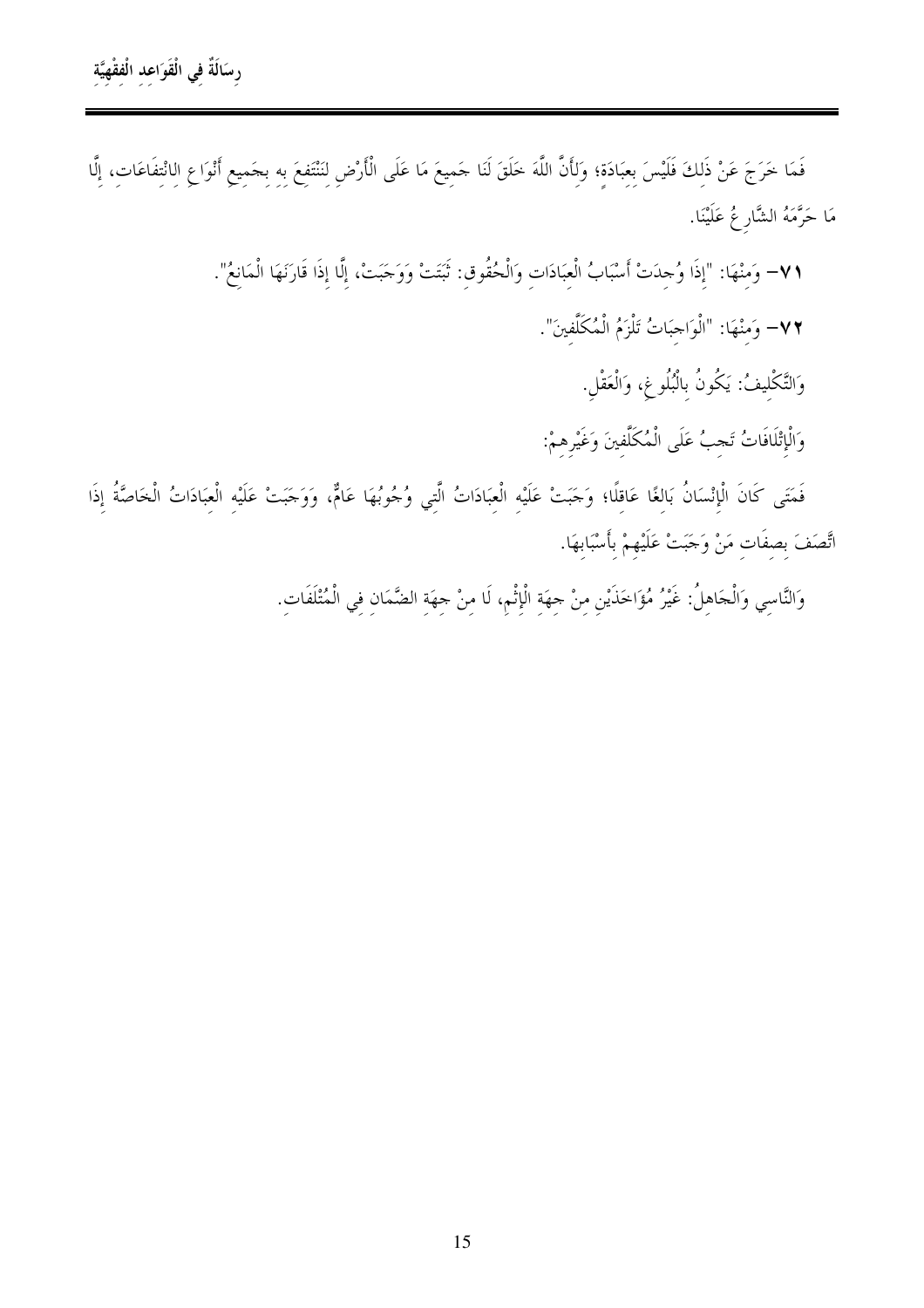فَمَا خَرَجَ عَنْ ذَلِكَ فَلَيْسَ بِعِبَادَةِ؛ وَلِأَنَّ اللَّهَ خَلَقَ لَنَا حَمِيعَ مَا عَلَى الْأَرْضِ لِنَنْتَفِعَ بِهِ بِجَمِيعِ أَنْوَاعِ الِانْتِفَاعَاتِ، إِلَّا مَا حَرَّمَهُ الشَّارِ عُ عَلَيْنَا.

٧١– وَمِنْهَا: "إِذَا وُجِدَتْ أَسْبَابُ الْعِبَادَاتِ وَالْحُقُوقِ: ثَبَتَتْ وَوَحَبَتْ، إِلَّا إِذَا قَارَنَهَا الْمَانِعُ".

٧٢– وَمَنْهَا: "الْوَاحِبَاتُ تَلْزَمُ الْمُكَلَّفينَ".

وَالتَّكْليفُ: يَكُونُ بِالْبُلُوغِ، وَالْعَقْلِ.

وَالْإِتْلَافَاتُ تَجِبُ عَلَى الْمُكَلَّفِينَ وَغَيْرِهِمْ:

فَمَتَى كَانَ الْإِنْسَانُ بَالغًا عَاقلًا؛ وَجَبَتْ عَلَيْه الْعبَادَاتُ الَّتي وُجُوبُهَا عَامٌّ، وَوَجَبَتْ عَلَيْه الْعبَادَاتُ الْخَاصَّةُ إِذَا اتَّصَفَ بِصِفَاتٍ مَنْ وَحَبَتْ عَلَيْهِمْ بِأَسْبَابِهَا.

وَالنَّاسِي وَالْحَاهلُ: غَيْرُ مُؤَاخَذَيْنِ منْ حهَة الْإِثْمِ، لَا منْ حهَة الضَّمَانِ في الْمُتْلَفَات.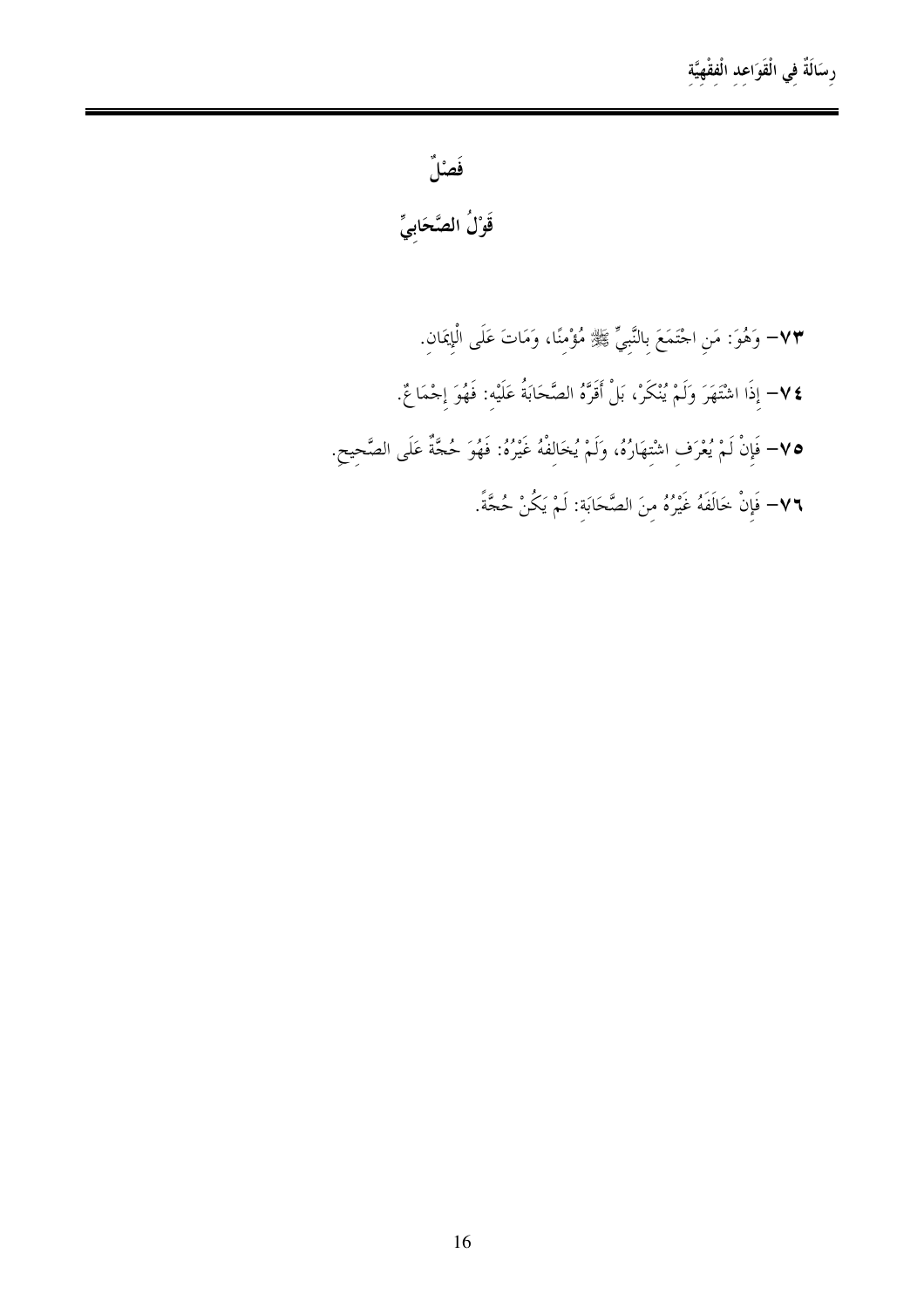فَصْلٌ

قَوْلُ الصَّحَابِيِّ

٧٣– وَهُوَ: مَنِ احْتَمَعَ بِالنَّبِيِّ ﷺ مُؤْمِنًا، وَمَاتَ عَلَى الْإِيمَانِ. ٧٤− إذَا اشْتَهَرَ وَلَمْ يُنْكَرْ، بَلْ أَقَرَّهُ الصَّحَابَةُ عَلَيْه: فَهُوَ إجْمَاعٌ. ٧٥– فَإِنْ لَمْ يُعْرَفِ اشْتِهَارُهُ، وَلَمْ يُخَالِفْهُ غَيْرُهُ: فَهُوَ حُجَّةٌ عَلَى الصَّحِيحِ. ٧٦- فَإِنْ خَالَفَهُ غَيْرُهُ مِنَ الصَّحَابَةِ: لَمْ يَكُنْ حُجَّةً.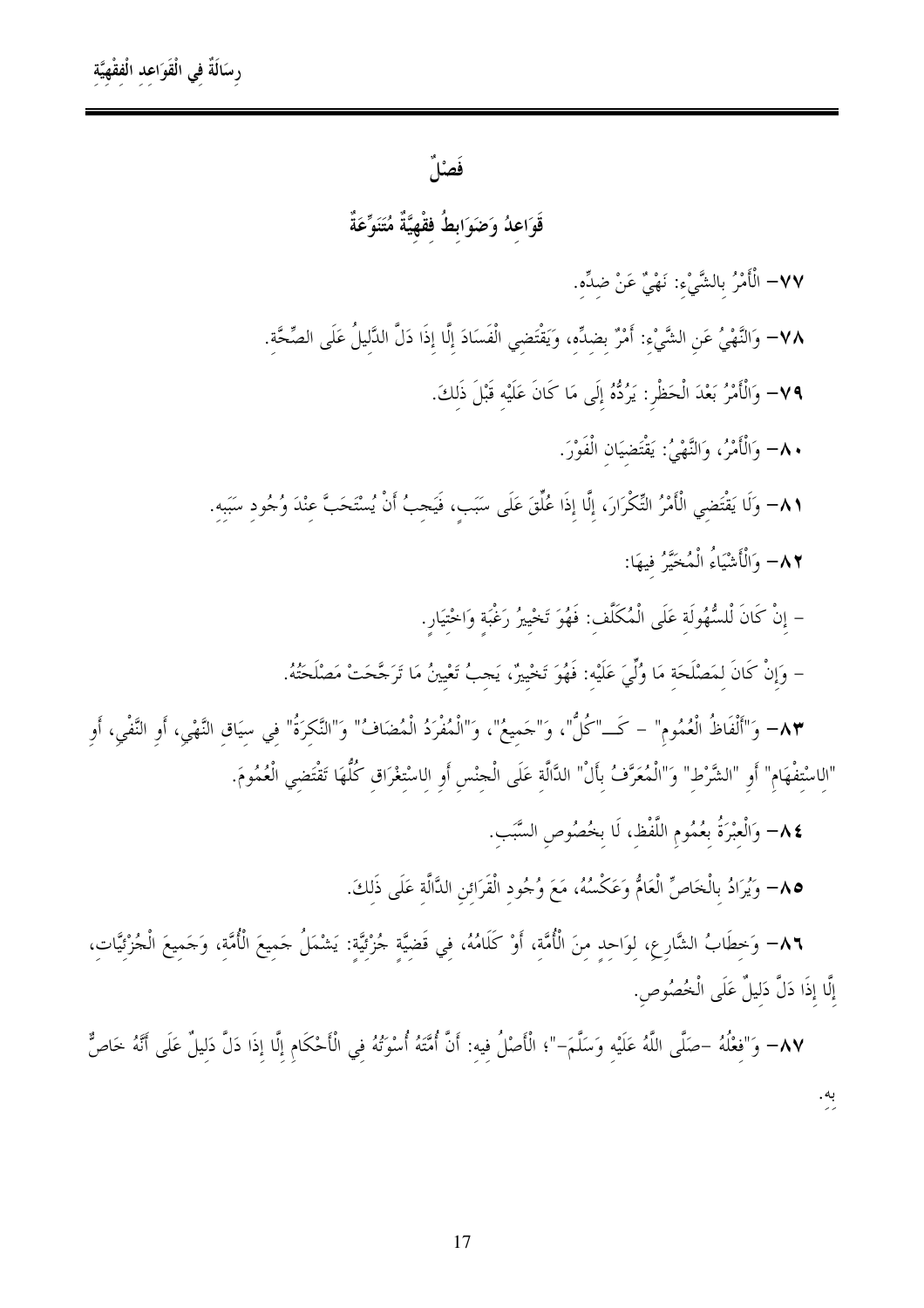فَصْلٌ

قَوَاعدُ وَضَوَابطُ فقْهِيَّةٌ مُتَنَوِّعَةٌ

٧٧– الْأَمْرُ بالشَّيْء: نَهْيٌ عَنْ ضدِّه.

٧٨– وَالنَّهْيُ عَنِ الشَّيْءِ: أَمْرٌ بِضِدِّهِ، وَيَقْتَضِي الْفَسَادَ إِلَّا إِذَا دَلَّ الدَّلِيلُ عَلَى الصِّحَّةِ.

٧٩– وَالْأَمْرُ بَعْدَ الْحَظْرِ: يَرُدُّهُ إِلَى مَا كَانَ عَلَيْه قَبْلَ ذَلكَ.

٨٠– وَالْأَمْرُ، وَالنَّهْيُ: يَقْتَضيَان الْفَوْرَ.

٨١– وَلَا يَقْتَضِي الْأَمْرُ التِّكْرَارَ، إِلَّا إذَا عُلِّقَ عَلَى سَبَبٍ، فَيَجِبُ أَنْ يُسْتَحَبَّ عِنْدَ وُجُودِ سَبَبِهِ. ٨٢– وَالْأَشْيَاءُ الْمُخَيَّرُ فِيهَا:

– إِنْ كَانَ لْلسُّهُولَةِ عَلَى الْمُكَلَّفِ: فَهُوَ تَخْيِيرُ رَغْبَةٍ وَاخْتِيَارِ.

– وَإِنْ كَانَ لمَصْلَحَة مَا وُلِّيَ عَلَيْهِ: فَهُوَ تَحْيِيرٌ، يَجِبُ تَعْيِينُ مَا تَرَجَّحَتْ مَصْلَحَتُهُ.

٨٣- وَ"أَلْفَاظُ الْعُمُوم" – كَــ"كُلُّ"، وَ"حَميعُ"، وَ"الْمُفْرَدُ الْمُضَافُ" وَ"النَّكرَةُ" في سيَاق النَّهْي، أو النَّفْي، أو "الِاسْتِفْهَامِ" أَوِ "الشَّرْطِ" وَ"الْمُعَرَّفُ بِأَلْ" الدَّالَةِ عَلَى الْجنْسِ أَوِ الِاسْتِغْرَاقِ كُلُّهَا تَقْتَضِي الْعُمُومَ.

٤٨- وَالْعبْرَةُ بعُمُوم اللَّفْظ، لَا بخُصُوص السَّبَب.

٨٥– وَيُرَادُ بِالْخَاصِّ الْعَامُّ وَعَكْسُهُ، مَعَ وُجُود الْقَرَائن الدَّالَّة عَلَى ذَلكَ.

٨٦– وَخطَابُ الشَّارع، لوَاحد منَ الْأُمَّة، أَوْ كَلَامُهُ، في قَضيَّة جُزْئيَّة: يَشْمَلُ جَميعَ الْأُمَّة، وَجَميعَ الْجُزْئيَّات، إِلَّا إِذَا دَلَّ دَليلٌ عَلَى الْخُصُوص.

٨٧– وَ"فِعْلُهُ –صَلَّى اللَّهُ عَلَيْه وَسَلَّمَ–"؛ الْأَصْلُ فِيه: أَنَّ أُمَّتَهُ أُسْوَتُهُ فِي الْأَحْكَامِ إلَّا إِذَا دَلَّ دَلِيلٌ عَلَى أَنَّهُ خَاصٌّ به.<br>پ